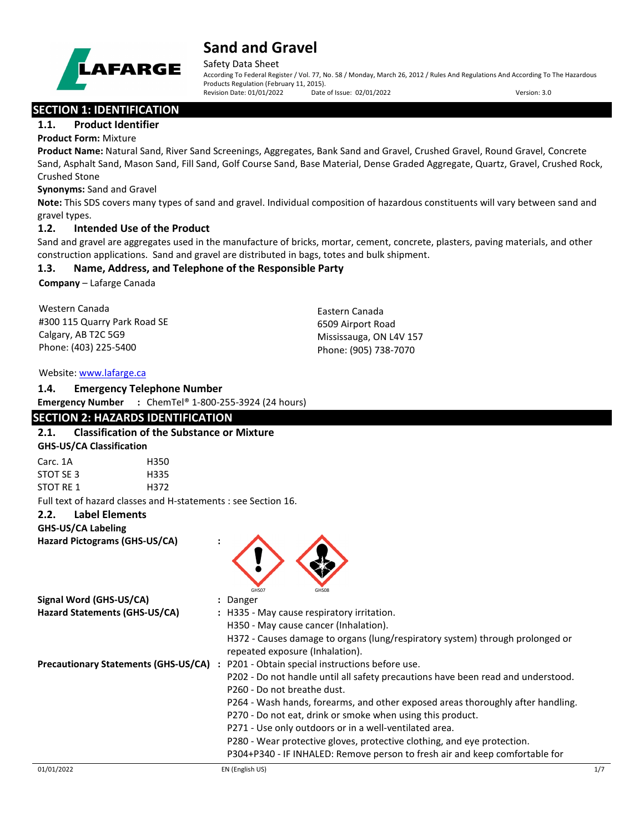

#### Safety Data Sheet

According To Federal Register / Vol. 77, No. 58 / Monday, March 26, 2012 / Rules And Regulations And According To The Hazardous Products Regulation (February 11, 2015).<br>Revision Date: 01/01/2022 Date of Issue: 02/01/2022 Revision Date: 01/01/2022 Date of Issue: 02/01/2022 Version: 3.0

**SECTION 1: IDENTIFICATION** 

## **1.1. Product Identifier**

**Product Form:** Mixture

**Product Name:** Natural Sand, River Sand Screenings, Aggregates, Bank Sand and Gravel, Crushed Gravel, Round Gravel, Concrete Sand, Asphalt Sand, Mason Sand, Fill Sand, Golf Course Sand, Base Material, Dense Graded Aggregate, Quartz, Gravel, Crushed Rock, Crushed Stone

**Synonyms:** Sand and Gravel

**Note:** This SDS covers many types of sand and gravel. Individual composition of hazardous constituents will vary between sand and gravel types.

## **1.2. Intended Use of the Product**

Sand and gravel are aggregates used in the manufacture of bricks, mortar, cement, concrete, plasters, paving materials, and other construction applications. Sand and gravel are distributed in bags, totes and bulk shipment.

## **1.3. Name, Address, and Telephone of the Responsible Party**

**Company** – Lafarge Canada

Western Canada #300 115 Quarry Park Road SE Calgary, AB T2C 5G9 Phone: (403) 225-5400

Eastern Canada 6509 Airport Road Mississauga, ON L4V 157 Phone: (905) 738-7070

## Website: [www.lafarge.ca](file://leon/customers/CUSTOMERS/Lafarge_North_America_Inc/Projects/Authoring_20180316/Batch_Folder/B_Draft_SDS/MS_Word_Files/www.lafarge.ca)

### **1.4. Emergency Telephone Number**

**Emergency Number :** ChemTel® 1-800-255-3924 (24 hours)

## **SECTION 2: HAZARDS IDENTIFICATION**

#### **2.1. Classification of the Substance or Mixture**

| <b>GHS-US/CA Classification</b> |      |
|---------------------------------|------|
| Carc. 1A                        | H350 |

STOT SE 3 H335 STOT RE 1 H372

Full text of hazard classes and H-statements : see Section 16.

## **2.2. Label Elements**

**GHS-US/CA Labeling**

**Hazard Pictograms (GHS-US/CA) :**



| Signal Word (GHS-US/CA)                     | : Danger                                                                         |
|---------------------------------------------|----------------------------------------------------------------------------------|
| Hazard Statements (GHS-US/CA)               | : H335 - May cause respiratory irritation.                                       |
|                                             | H350 - May cause cancer (Inhalation).                                            |
|                                             | H372 - Causes damage to organs (lung/respiratory system) through prolonged or    |
|                                             | repeated exposure (Inhalation).                                                  |
| <b>Precautionary Statements (GHS-US/CA)</b> | : P201 - Obtain special instructions before use.                                 |
|                                             | P202 - Do not handle until all safety precautions have been read and understood. |
|                                             | P260 - Do not breathe dust.                                                      |
|                                             | P264 - Wash hands, forearms, and other exposed areas thoroughly after handling.  |
|                                             | P270 - Do not eat, drink or smoke when using this product.                       |
|                                             | P271 - Use only outdoors or in a well-ventilated area.                           |
|                                             | P280 - Wear protective gloves, protective clothing, and eye protection.          |
|                                             | P304+P340 - IF INHALED: Remove person to fresh air and keep comfortable for      |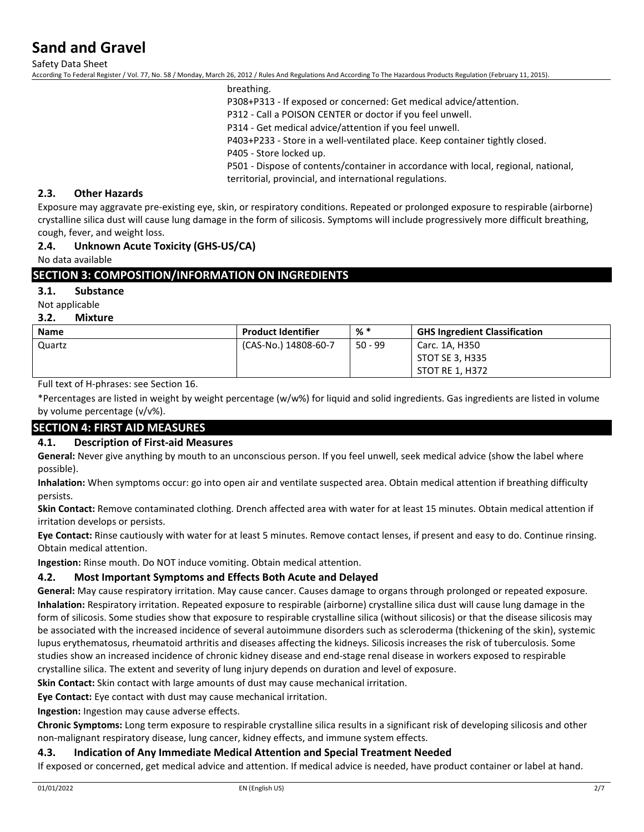Safety Data Sheet

According To Federal Register / Vol. 77, No. 58 / Monday, March 26, 2012 / Rules And Regulations And According To The Hazardous Products Regulation (February 11, 2015).

breathing.

P308+P313 - If exposed or concerned: Get medical advice/attention.

P312 - Call a POISON CENTER or doctor if you feel unwell.

P314 - Get medical advice/attention if you feel unwell.

P403+P233 - Store in a well-ventilated place. Keep container tightly closed.

P405 - Store locked up.

P501 - Dispose of contents/container in accordance with local, regional, national, territorial, provincial, and international regulations.

### **2.3. Other Hazards**

Exposure may aggravate pre-existing eye, skin, or respiratory conditions. Repeated or prolonged exposure to respirable (airborne) crystalline silica dust will cause lung damage in the form of silicosis. Symptoms will include progressively more difficult breathing, cough, fever, and weight loss.

## **2.4. Unknown Acute Toxicity (GHS-US/CA)**

No data available

## **SECTION 3: COMPOSITION/INFORMATION ON INGREDIENTS**

**3.1. Substance**

Not applicable

#### **3.2. Mixture**

| <b>Name</b> | <b>Product Identifier</b> | % *       | <b>GHS Ingredient Classification</b> |
|-------------|---------------------------|-----------|--------------------------------------|
| Quartz      | (CAS-No.) 14808-60-7      | $50 - 99$ | Carc. 1A, H350                       |
|             |                           |           | STOT SE 3, H335                      |
|             |                           |           | STOT RE 1, H372                      |

Full text of H-phrases: see Section 16.

\*Percentages are listed in weight by weight percentage (w/w%) for liquid and solid ingredients. Gas ingredients are listed in volume by volume percentage (v/v%).

## **SECTION 4: FIRST AID MEASURES**

### **4.1. Description of First-aid Measures**

**General:** Never give anything by mouth to an unconscious person. If you feel unwell, seek medical advice (show the label where possible).

**Inhalation:** When symptoms occur: go into open air and ventilate suspected area. Obtain medical attention if breathing difficulty persists.

**Skin Contact:** Remove contaminated clothing. Drench affected area with water for at least 15 minutes. Obtain medical attention if irritation develops or persists.

**Eye Contact:** Rinse cautiously with water for at least 5 minutes. Remove contact lenses, if present and easy to do. Continue rinsing. Obtain medical attention.

**Ingestion:** Rinse mouth. Do NOT induce vomiting. Obtain medical attention.

## **4.2. Most Important Symptoms and Effects Both Acute and Delayed**

**General:** May cause respiratory irritation. May cause cancer. Causes damage to organs through prolonged or repeated exposure. **Inhalation:** Respiratory irritation. Repeated exposure to respirable (airborne) crystalline silica dust will cause lung damage in the form of silicosis. Some studies show that exposure to respirable crystalline silica (without silicosis) or that the disease silicosis may be associated with the increased incidence of several autoimmune disorders such as scleroderma (thickening of the skin), systemic lupus erythematosus, rheumatoid arthritis and diseases affecting the kidneys. Silicosis increases the risk of tuberculosis. Some studies show an increased incidence of chronic kidney disease and end-stage renal disease in workers exposed to respirable crystalline silica. The extent and severity of lung injury depends on duration and level of exposure.

**Skin Contact:** Skin contact with large amounts of dust may cause mechanical irritation.

**Eye Contact:** Eye contact with dust may cause mechanical irritation.

**Ingestion:** Ingestion may cause adverse effects.

**Chronic Symptoms:** Long term exposure to respirable crystalline silica results in a significant risk of developing silicosis and other non-malignant respiratory disease, lung cancer, kidney effects, and immune system effects.

## **4.3. Indication of Any Immediate Medical Attention and Special Treatment Needed**

If exposed or concerned, get medical advice and attention. If medical advice is needed, have product container or label at hand.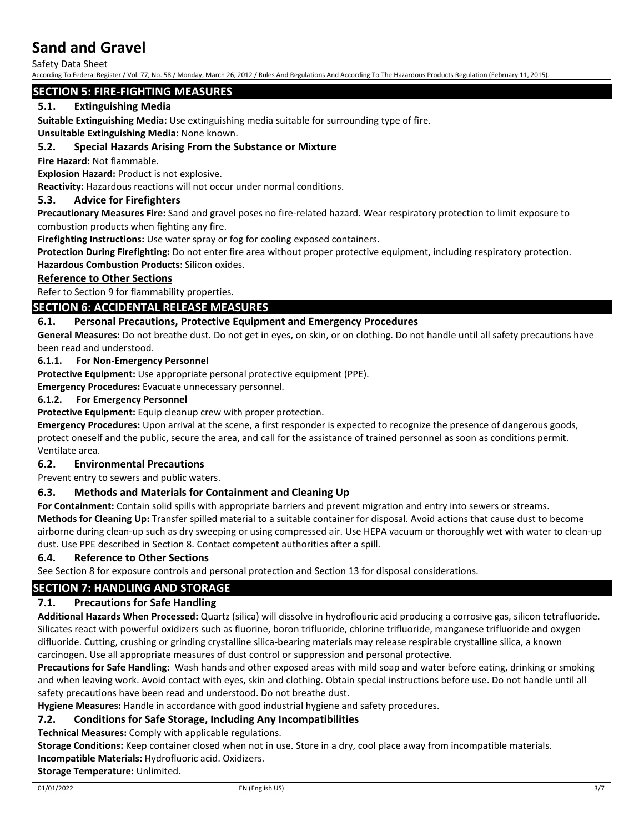Safety Data Sheet

According To Federal Register / Vol. 77, No. 58 / Monday, March 26, 2012 / Rules And Regulations And According To The Hazardous Products Regulation (February 11, 2015).

### **SECTION 5: FIRE-FIGHTING MEASURES**

## **5.1. Extinguishing Media**

**Suitable Extinguishing Media:** Use extinguishing media suitable for surrounding type of fire.

**Unsuitable Extinguishing Media:** None known.

### **5.2. Special Hazards Arising From the Substance or Mixture**

**Fire Hazard:** Not flammable.

**Explosion Hazard:** Product is not explosive.

**Reactivity:** Hazardous reactions will not occur under normal conditions.

#### **5.3. Advice for Firefighters**

**Precautionary Measures Fire:** Sand and gravel poses no fire-related hazard. Wear respiratory protection to limit exposure to combustion products when fighting any fire.

**Firefighting Instructions:** Use water spray or fog for cooling exposed containers.

**Protection During Firefighting:** Do not enter fire area without proper protective equipment, including respiratory protection. **Hazardous Combustion Products**: Silicon oxides.

#### **Reference to Other Sections**

Refer to Section 9 for flammability properties.

### **SECTION 6: ACCIDENTAL RELEASE MEASURES**

#### **6.1. Personal Precautions, Protective Equipment and Emergency Procedures**

**General Measures:** Do not breathe dust. Do not get in eyes, on skin, or on clothing. Do not handle until all safety precautions have been read and understood.

#### **6.1.1. For Non-Emergency Personnel**

**Protective Equipment:** Use appropriate personal protective equipment (PPE).

**Emergency Procedures:** Evacuate unnecessary personnel.

#### **6.1.2. For Emergency Personnel**

**Protective Equipment:** Equip cleanup crew with proper protection.

**Emergency Procedures:** Upon arrival at the scene, a first responder is expected to recognize the presence of dangerous goods, protect oneself and the public, secure the area, and call for the assistance of trained personnel as soon as conditions permit. Ventilate area.

#### **6.2. Environmental Precautions**

Prevent entry to sewers and public waters.

#### **6.3. Methods and Materials for Containment and Cleaning Up**

**For Containment:** Contain solid spills with appropriate barriers and prevent migration and entry into sewers or streams. **Methods for Cleaning Up:** Transfer spilled material to a suitable container for disposal. Avoid actions that cause dust to become airborne during clean-up such as dry sweeping or using compressed air. Use HEPA vacuum or thoroughly wet with water to clean-up dust. Use PPE described in Section 8. Contact competent authorities after a spill.

#### **6.4. Reference to Other Sections**

See Section 8 for exposure controls and personal protection and Section 13 for disposal considerations.

#### **SECTION 7: HANDLING AND STORAGE**

#### **7.1. Precautions for Safe Handling**

**Additional Hazards When Processed:** Quartz (silica) will dissolve in hydroflouric acid producing a corrosive gas, silicon tetrafluoride. Silicates react with powerful oxidizers such as fluorine, boron trifluoride, chlorine trifluoride, manganese trifluoride and oxygen difluoride. Cutting, crushing or grinding crystalline silica-bearing materials may release respirable crystalline silica, a known carcinogen. Use all appropriate measures of dust control or suppression and personal protective.

**Precautions for Safe Handling:** Wash hands and other exposed areas with mild soap and water before eating, drinking or smoking and when leaving work. Avoid contact with eyes, skin and clothing. Obtain special instructions before use. Do not handle until all safety precautions have been read and understood. Do not breathe dust.

**Hygiene Measures:** Handle in accordance with good industrial hygiene and safety procedures.

#### **7.2. Conditions for Safe Storage, Including Any Incompatibilities**

**Technical Measures:** Comply with applicable regulations.

**Storage Conditions:** Keep container closed when not in use. Store in a dry, cool place away from incompatible materials. **Incompatible Materials:** Hydrofluoric acid. Oxidizers.

**Storage Temperature:** Unlimited.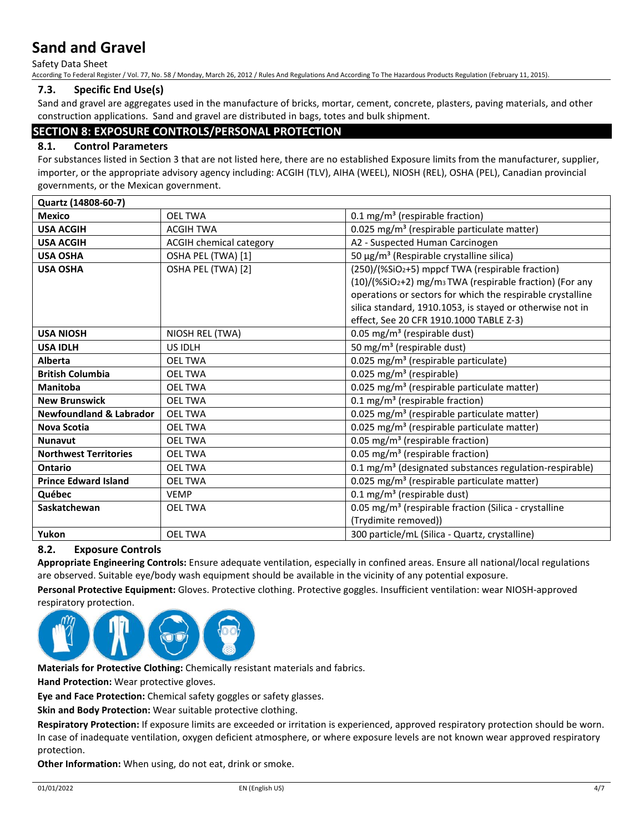Safety Data Sheet

According To Federal Register / Vol. 77, No. 58 / Monday, March 26, 2012 / Rules And Regulations And According To The Hazardous Products Regulation (February 11, 2015).

#### **7.3. Specific End Use(s)**

Sand and gravel are aggregates used in the manufacture of bricks, mortar, cement, concrete, plasters, paving materials, and other construction applications. Sand and gravel are distributed in bags, totes and bulk shipment.

### **SECTION 8: EXPOSURE CONTROLS/PERSONAL PROTECTION**

#### **8.1. Control Parameters**

For substances listed in Section 3 that are not listed here, there are no established Exposure limits from the manufacturer, supplier, importer, or the appropriate advisory agency including: ACGIH (TLV), AIHA (WEEL), NIOSH (REL), OSHA (PEL), Canadian provincial governments, or the Mexican government.

| Quartz (14808-60-7)                |                         |                                                                     |
|------------------------------------|-------------------------|---------------------------------------------------------------------|
| <b>Mexico</b>                      | <b>OEL TWA</b>          | 0.1 mg/m <sup>3</sup> (respirable fraction)                         |
| <b>USA ACGIH</b>                   | <b>ACGIH TWA</b>        | 0.025 mg/m <sup>3</sup> (respirable particulate matter)             |
| <b>USA ACGIH</b>                   | ACGIH chemical category | A2 - Suspected Human Carcinogen                                     |
| <b>USA OSHA</b>                    | OSHA PEL (TWA) [1]      | 50 $\mu$ g/m <sup>3</sup> (Respirable crystalline silica)           |
| <b>USA OSHA</b>                    | OSHA PEL (TWA) [2]      | (250)/(%SiO2+5) mppcf TWA (respirable fraction)                     |
|                                    |                         | (10)/(%SiO2+2) mg/m <sub>3</sub> TWA (respirable fraction) (For any |
|                                    |                         | operations or sectors for which the respirable crystalline          |
|                                    |                         | silica standard, 1910.1053, is stayed or otherwise not in           |
|                                    |                         | effect, See 20 CFR 1910.1000 TABLE Z-3)                             |
| <b>USA NIOSH</b>                   | NIOSH REL (TWA)         | 0.05 mg/m <sup>3</sup> (respirable dust)                            |
| <b>USA IDLH</b>                    | US IDLH                 | 50 mg/m <sup>3</sup> (respirable dust)                              |
| <b>Alberta</b>                     | <b>OEL TWA</b>          | 0.025 mg/m <sup>3</sup> (respirable particulate)                    |
| <b>British Columbia</b>            | <b>OEL TWA</b>          | 0.025 mg/m <sup>3</sup> (respirable)                                |
| <b>Manitoba</b>                    | <b>OEL TWA</b>          | 0.025 mg/m <sup>3</sup> (respirable particulate matter)             |
| <b>New Brunswick</b>               | <b>OEL TWA</b>          | 0.1 mg/m <sup>3</sup> (respirable fraction)                         |
| <b>Newfoundland &amp; Labrador</b> | <b>OEL TWA</b>          | 0.025 mg/m <sup>3</sup> (respirable particulate matter)             |
| <b>Nova Scotia</b>                 | <b>OEL TWA</b>          | 0.025 mg/m <sup>3</sup> (respirable particulate matter)             |
| <b>Nunavut</b>                     | <b>OEL TWA</b>          | 0.05 mg/m <sup>3</sup> (respirable fraction)                        |
| <b>Northwest Territories</b>       | <b>OEL TWA</b>          | 0.05 mg/m <sup>3</sup> (respirable fraction)                        |
| Ontario                            | <b>OEL TWA</b>          | 0.1 mg/m <sup>3</sup> (designated substances regulation-respirable) |
| <b>Prince Edward Island</b>        | <b>OEL TWA</b>          | 0.025 mg/m <sup>3</sup> (respirable particulate matter)             |
| Québec                             | <b>VEMP</b>             | $0.1 \text{ mg/m}^3$ (respirable dust)                              |
| Saskatchewan                       | <b>OEL TWA</b>          | 0.05 mg/m <sup>3</sup> (respirable fraction (Silica - crystalline   |
|                                    |                         | (Trydimite removed))                                                |
| Yukon                              | <b>OEL TWA</b>          | 300 particle/mL (Silica - Quartz, crystalline)                      |

#### **8.2. Exposure Controls**

**Appropriate Engineering Controls:** Ensure adequate ventilation, especially in confined areas. Ensure all national/local regulations are observed. Suitable eye/body wash equipment should be available in the vicinity of any potential exposure.

**Personal Protective Equipment:** Gloves. Protective clothing. Protective goggles. Insufficient ventilation: wear NIOSH-approved respiratory protection.



**Materials for Protective Clothing:** Chemically resistant materials and fabrics.

**Hand Protection:** Wear protective gloves.

**Eye and Face Protection:** Chemical safety goggles or safety glasses.

**Skin and Body Protection:** Wear suitable protective clothing.

**Respiratory Protection:** If exposure limits are exceeded or irritation is experienced, approved respiratory protection should be worn. In case of inadequate ventilation, oxygen deficient atmosphere, or where exposure levels are not known wear approved respiratory protection.

**Other Information:** When using, do not eat, drink or smoke.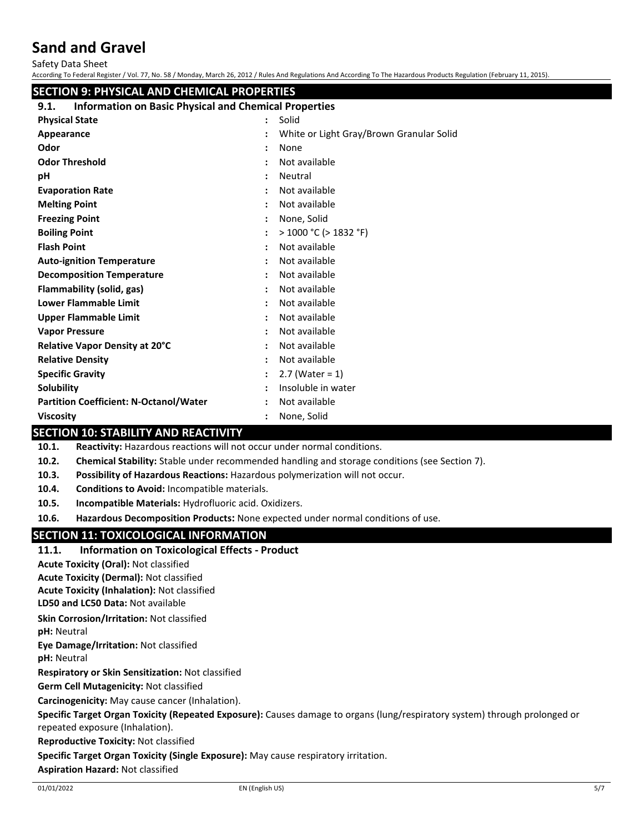Safety Data Sheet

| Saiely Dala Siieel                                                   |              | According To Federal Register / Vol. 77, No. 58 / Monday, March 26, 2012 / Rules And Regulations And According To The Hazardous Products Regulation (February 11, 2015). |
|----------------------------------------------------------------------|--------------|--------------------------------------------------------------------------------------------------------------------------------------------------------------------------|
| <b>SECTION 9: PHYSICAL AND CHEMICAL PROPERTIES</b>                   |              |                                                                                                                                                                          |
| <b>Information on Basic Physical and Chemical Properties</b><br>9.1. |              |                                                                                                                                                                          |
| <b>Physical State</b>                                                | $\mathbf{L}$ | Solid                                                                                                                                                                    |
| Appearance                                                           |              | White or Light Gray/Brown Granular Solid                                                                                                                                 |
| Odor                                                                 |              | None                                                                                                                                                                     |
| <b>Odor Threshold</b>                                                |              | Not available                                                                                                                                                            |
| рH                                                                   |              | Neutral                                                                                                                                                                  |
| <b>Evaporation Rate</b>                                              |              | Not available                                                                                                                                                            |
| <b>Melting Point</b>                                                 |              | Not available                                                                                                                                                            |
| <b>Freezing Point</b>                                                |              | None, Solid                                                                                                                                                              |
| <b>Boiling Point</b>                                                 |              | $>$ 1000 °C ( $>$ 1832 °F)                                                                                                                                               |
| <b>Flash Point</b>                                                   |              | Not available                                                                                                                                                            |
| <b>Auto-ignition Temperature</b>                                     |              | Not available                                                                                                                                                            |
| <b>Decomposition Temperature</b>                                     |              | Not available                                                                                                                                                            |
| Flammability (solid, gas)                                            |              | Not available                                                                                                                                                            |
| <b>Lower Flammable Limit</b>                                         |              | Not available                                                                                                                                                            |
| <b>Upper Flammable Limit</b>                                         |              | Not available                                                                                                                                                            |
| <b>Vapor Pressure</b>                                                |              | Not available                                                                                                                                                            |
| Relative Vapor Density at 20°C                                       |              | Not available                                                                                                                                                            |
| <b>Relative Density</b>                                              |              | Not available                                                                                                                                                            |
| <b>Specific Gravity</b>                                              |              | $2.7$ (Water = 1)                                                                                                                                                        |
| Solubility                                                           |              | Insoluble in water                                                                                                                                                       |
| <b>Partition Coefficient: N-Octanol/Water</b>                        |              | Not available                                                                                                                                                            |
| <b>Viscosity</b>                                                     |              | None, Solid                                                                                                                                                              |

## **SECTION 10: STABILITY AND REACTIVITY**

**10.1. Reactivity:** Hazardous reactions will not occur under normal conditions.

- **10.2. Chemical Stability:** Stable under recommended handling and storage conditions (see Section 7).
- **10.3. Possibility of Hazardous Reactions:** Hazardous polymerization will not occur.
- **10.4. Conditions to Avoid:** Incompatible materials.
- **10.5. Incompatible Materials:** Hydrofluoric acid. Oxidizers.

**10.6. Hazardous Decomposition Products:** None expected under normal conditions of use.

## **SECTION 11: TOXICOLOGICAL INFORMATION**

**11.1. Information on Toxicological Effects - Product**

**Acute Toxicity (Oral):** Not classified

**Acute Toxicity (Dermal):** Not classified

**Acute Toxicity (Inhalation):** Not classified

**LD50 and LC50 Data:** Not available

**Skin Corrosion/Irritation:** Not classified

**pH:** Neutral

**Eye Damage/Irritation:** Not classified

**pH:** Neutral

**Respiratory or Skin Sensitization:** Not classified

**Germ Cell Mutagenicity:** Not classified

**Carcinogenicity:** May cause cancer (Inhalation).

**Specific Target Organ Toxicity (Repeated Exposure):** Causes damage to organs (lung/respiratory system) through prolonged or repeated exposure (Inhalation).

**Reproductive Toxicity:** Not classified

**Specific Target Organ Toxicity (Single Exposure):** May cause respiratory irritation.

**Aspiration Hazard:** Not classified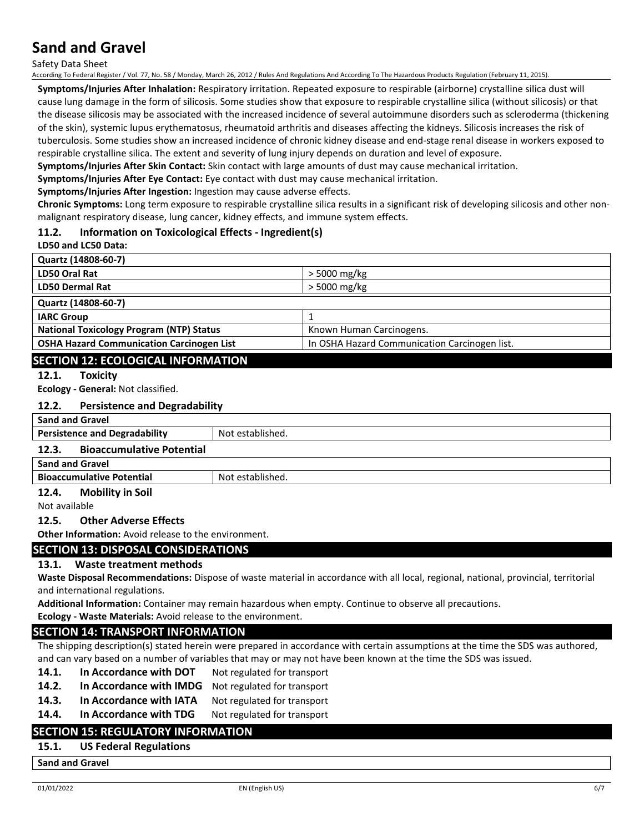Safety Data Sheet

According To Federal Register / Vol. 77, No. 58 / Monday, March 26, 2012 / Rules And Regulations And According To The Hazardous Products Regulation (February 11, 2015).

**Symptoms/Injuries After Inhalation:** Respiratory irritation. Repeated exposure to respirable (airborne) crystalline silica dust will cause lung damage in the form of silicosis. Some studies show that exposure to respirable crystalline silica (without silicosis) or that the disease silicosis may be associated with the increased incidence of several autoimmune disorders such as scleroderma (thickening of the skin), systemic lupus erythematosus, rheumatoid arthritis and diseases affecting the kidneys. Silicosis increases the risk of tuberculosis. Some studies show an increased incidence of chronic kidney disease and end-stage renal disease in workers exposed to respirable crystalline silica. The extent and severity of lung injury depends on duration and level of exposure.

**Symptoms/Injuries After Skin Contact:** Skin contact with large amounts of dust may cause mechanical irritation.

**Symptoms/Injuries After Eye Contact:** Eye contact with dust may cause mechanical irritation.

**Symptoms/Injuries After Ingestion:** Ingestion may cause adverse effects.

**Chronic Symptoms:** Long term exposure to respirable crystalline silica results in a significant risk of developing silicosis and other nonmalignant respiratory disease, lung cancer, kidney effects, and immune system effects.

### **11.2. Information on Toxicological Effects - Ingredient(s)**

**LD50 and LC50 Data:**

| > 5000 mg/kg                                  |
|-----------------------------------------------|
| $>$ 5000 mg/kg                                |
|                                               |
|                                               |
| Known Human Carcinogens.                      |
| In OSHA Hazard Communication Carcinogen list. |
|                                               |

### **SECTION 12: ECOLOGICAL INFORMATION**

#### **12.1. Toxicity**

**Ecology - General:** Not classified.

#### **12.2. Persistence and Degradability**

| <b>Sand and Gravel</b>                    |                  |
|-------------------------------------------|------------------|
| <b>Persistence and Degradability</b>      | Not established. |
| <b>Bioaccumulative Potential</b><br>12.3. |                  |
| <b>Sand and Gravel</b>                    |                  |
| <b>Bioaccumulative Potential</b>          | Not established. |

#### **12.4. Mobility in Soil**

Not available

#### **12.5. Other Adverse Effects**

**Other Information:** Avoid release to the environment.

## **SECTION 13: DISPOSAL CONSIDERATIONS**

#### **13.1. Waste treatment methods**

**Waste Disposal Recommendations:** Dispose of waste material in accordance with all local, regional, national, provincial, territorial and international regulations.

**Additional Information:** Container may remain hazardous when empty. Continue to observe all precautions.

**Ecology - Waste Materials:** Avoid release to the environment.

## **SECTION 14: TRANSPORT INFORMATION**

The shipping description(s) stated herein were prepared in accordance with certain assumptions at the time the SDS was authored, and can vary based on a number of variables that may or may not have been known at the time the SDS was issued.

- 14.1. In Accordance with DOT Not regulated for transport
- 14.2. **In Accordance with IMDG** Not regulated for transport
- 14.3. In Accordance with IATA Not regulated for transport
- 14.4. In Accordance with TDG Not regulated for transport

## **SECTION 15: REGULATORY INFORMATION**

**15.1. US Federal Regulations**

**Sand and Gravel**